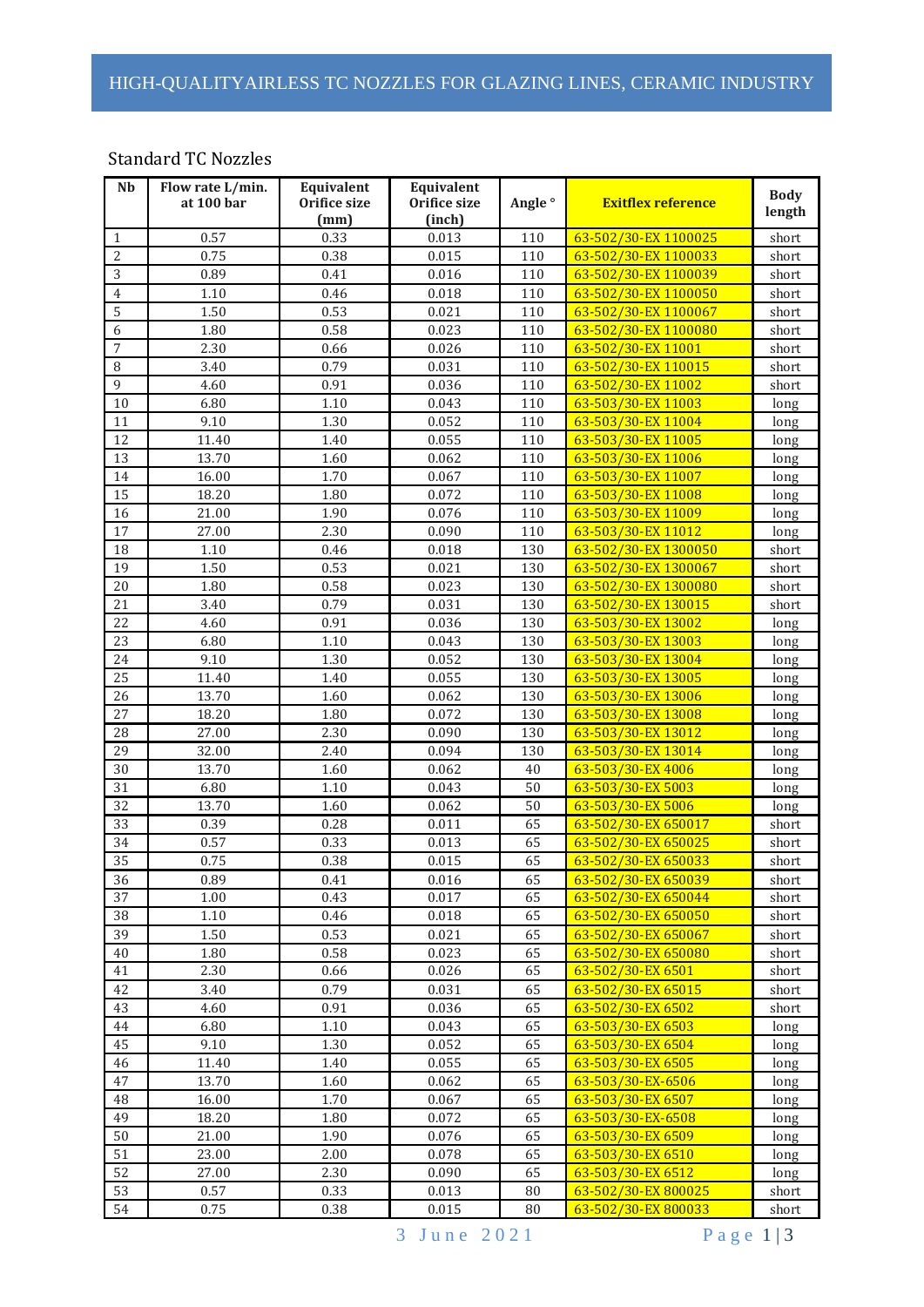# HIGH-QUALITYAIRLESS TC NOZZLES FOR GLAZING LINES, CERAMIC INDUSTRY

#### Standard TC Nozzles

| Nb               | Flow rate L/min.<br>at 100 bar | Equivalent<br>Orifice size<br>(mm) | Equivalent<br>Orifice size<br>(inch) | Angle <sup>o</sup> | <b>Exitflex reference</b> | <b>Body</b><br>length |
|------------------|--------------------------------|------------------------------------|--------------------------------------|--------------------|---------------------------|-----------------------|
| $\mathbf{1}$     | 0.57                           | 0.33                               | 0.013                                | 110                | 63-502/30-EX 1100025      | short                 |
| $\overline{c}$   | 0.75                           | 0.38                               | 0.015                                | 110                | 63-502/30-EX 1100033      | short                 |
| $\overline{3}$   | 0.89                           | 0.41                               | 0.016                                | 110                | 63-502/30-EX 1100039      | short                 |
| $\boldsymbol{4}$ | $1.10\,$                       | 0.46                               | 0.018                                | 110                | 63-502/30-EX 1100050      | short                 |
| 5                | 1.50                           | 0.53                               | 0.021                                | 110                | 63-502/30-EX 1100067      | short                 |
| 6                | 1.80                           | 0.58                               | 0.023                                | 110                | 63-502/30-EX 1100080      | short                 |
| $\overline{7}$   | 2.30                           | 0.66                               | 0.026                                | 110                | 63-502/30-EX 11001        | short                 |
| 8                | 3.40                           | 0.79                               | 0.031                                | 110                | 63-502/30-EX 110015       | short                 |
| 9                | 4.60                           | 0.91                               | 0.036                                | 110                | 63-502/30-EX 11002        | short                 |
| 10               | 6.80                           | 1.10                               | 0.043                                | 110                | 63-503/30-EX 11003        | long                  |
| 11               | 9.10                           | 1.30                               | 0.052                                | 110                | 63-503/30-EX 11004        | long                  |
| 12               | 11.40                          | 1.40                               | 0.055                                | 110                | 63-503/30-EX 11005        | long                  |
| 13               | 13.70                          | 1.60                               | 0.062                                | 110                | 63-503/30-EX 11006        | long                  |
| 14               | 16.00                          | 1.70                               | 0.067                                | 110                | 63-503/30-EX 11007        | long                  |
| 15               | 18.20                          | 1.80                               | 0.072                                | 110                | 63-503/30-EX 11008        | long                  |
| 16               | 21.00                          | 1.90                               | 0.076                                | 110                | 63-503/30-EX 11009        | long                  |
| 17               | $\overline{27.00}$             | 2.30                               | 0.090                                | 110                | 63-503/30-EX 11012        | long                  |
| 18               | 1.10                           | 0.46                               | 0.018                                | 130                | 63-502/30-EX 1300050      | short                 |
| 19               | 1.50                           | 0.53                               | 0.021                                | 130                | 63-502/30-EX 1300067      | short                 |
| 20               | 1.80                           | 0.58                               | 0.023                                | 130                | 63-502/30-EX 1300080      | short                 |
| 21               | 3.40                           | 0.79                               | 0.031                                | 130                | 63-502/30-EX 130015       | short                 |
| 22               | 4.60                           | 0.91                               | 0.036                                | 130                | 63-503/30-EX 13002        | long                  |
| 23               | 6.80                           | $1.10\,$                           | 0.043                                | 130                | 63-503/30-EX 13003        | long                  |
| 24               | 9.10                           | 1.30                               | 0.052                                | 130                | 63-503/30-EX 13004        | long                  |
| 25               | 11.40                          | 1.40                               | 0.055                                | 130                | 63-503/30-EX 13005        | long                  |
| 26               | 13.70                          | 1.60                               | 0.062                                | 130                | 63-503/30-EX 13006        | long                  |
| 27               | 18.20                          | 1.80                               | 0.072                                | 130                | 63-503/30-EX 13008        | long                  |
| 28               | 27.00                          | 2.30                               | 0.090                                | 130                | 63-503/30-EX 13012        | long                  |
| 29               | 32.00                          | 2.40                               | 0.094                                | 130                | 63-503/30-EX 13014        | long                  |
| 30               | 13.70                          | 1.60                               | 0.062                                | 40                 | 63-503/30-EX 4006         | long                  |
| 31               | 6.80                           | 1.10                               | 0.043                                | 50                 | 63-503/30-EX 5003         | long                  |
| 32               | 13.70                          | 1.60                               | 0.062                                | 50                 | 63-503/30-EX 5006         | long                  |
| 33               | 0.39                           | 0.28                               | 0.011                                | 65                 | 63-502/30-EX 650017       | short                 |
| 34               | 0.57                           | 0.33                               | 0.013                                | 65                 | 63-502/30-EX 650025       | short                 |
| 35               | 0.75                           | 0.38                               | 0.015                                | 65                 | 63-502/30-EX 650033       | short                 |
| 36               | 0.89                           | 0.41                               | 0.016                                | 65                 | 63-502/30-EX 650039       | short                 |
| 37               | 1.00                           | 0.43                               | 0.017                                | 65                 | 63-502/30-EX 650044       | short                 |
| 38               | 1.10                           | 0.46                               | 0.018                                | 65                 | 63-502/30-EX 650050       | short                 |
| 39               | 1.50                           | 0.53                               | 0.021                                | 65                 | 63-502/30-EX 650067       | short                 |
| $40\,$           | 1.80                           | 0.58                               | 0.023                                | 65                 | 63-502/30-EX 650080       | short                 |
| 41               | 2.30                           | 0.66                               | 0.026                                | 65                 | 63-502/30-EX 6501         | short                 |
| 42               | 3.40                           | 0.79                               | 0.031                                | 65                 | 63-502/30-EX 65015        | short                 |
| 43               | 4.60                           | 0.91                               | 0.036                                | 65                 | 63-502/30-EX 6502         | short                 |
| 44               | 6.80                           | 1.10                               | 0.043                                | 65                 | 63-503/30-EX 6503         | long                  |
| 45               | 9.10                           | 1.30                               | 0.052                                | 65                 | 63-503/30-EX 6504         | long                  |
| 46               | 11.40                          | 1.40                               | 0.055                                | 65                 | 63-503/30-EX 6505         | long                  |
| 47               | 13.70                          | 1.60                               | 0.062                                | 65                 | 63-503/30-EX-6506         | long                  |
| 48               | 16.00                          | 1.70                               | 0.067                                | 65                 | 63-503/30-EX 6507         | long                  |
| 49               | 18.20                          | 1.80                               | 0.072                                | 65                 | 63-503/30-EX-6508         | long                  |
| 50               | 21.00                          | 1.90                               | 0.076                                | 65                 | 63-503/30-EX 6509         | long                  |
| 51               | 23.00                          | 2.00                               | 0.078                                | 65                 | 63-503/30-EX 6510         | long                  |
| 52               | 27.00                          | 2.30                               | 0.090                                | 65                 | 63-503/30-EX 6512         | long                  |
| 53               | 0.57                           | 0.33                               | 0.013                                | 80                 | 63-502/30-EX800025        | short                 |
| 54               | 0.75                           | 0.38                               | 0.015                                | 80                 | 63-502/30-EX800033        | short                 |

3 June 2021 Page 1|3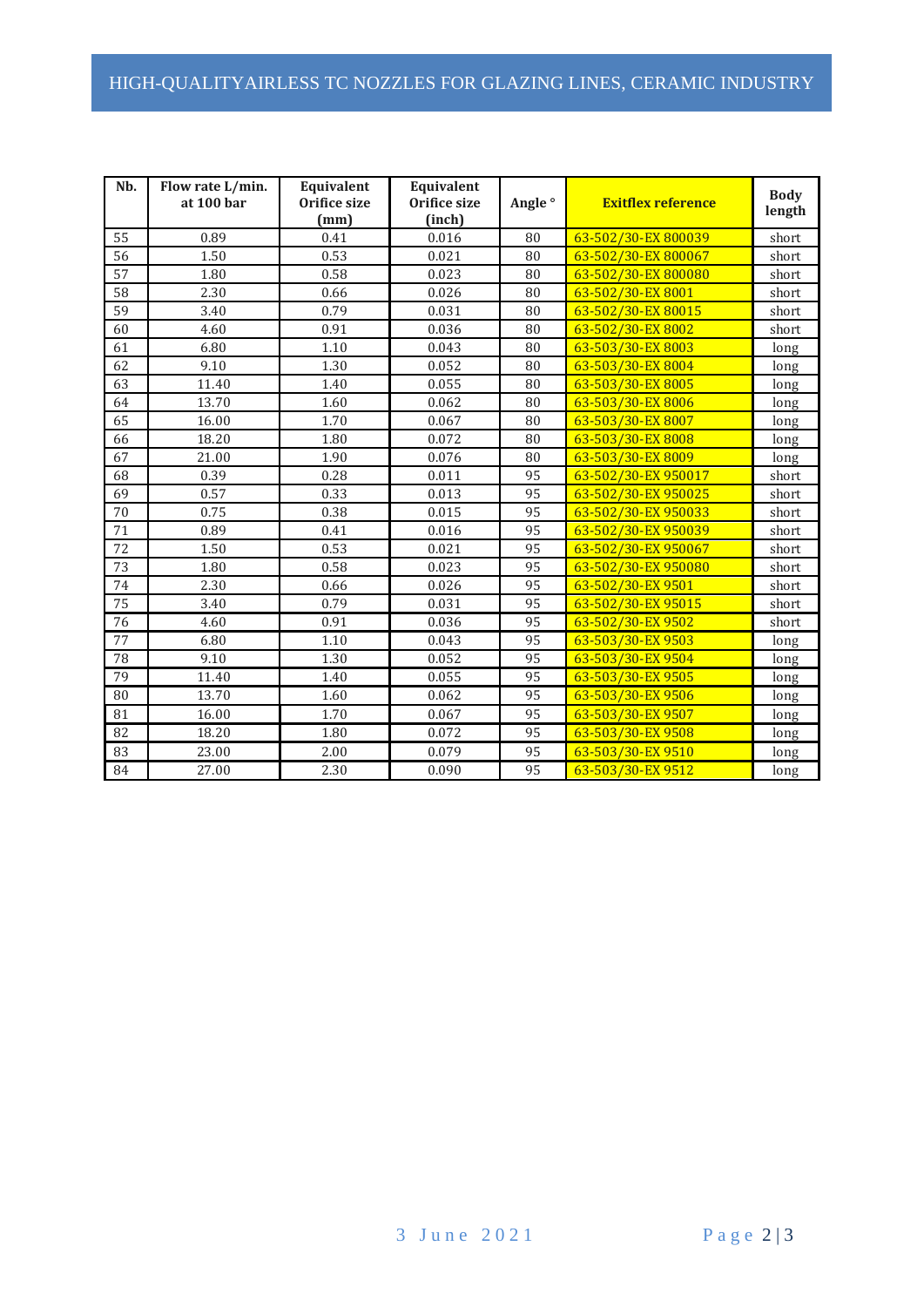# HIGH-QUALITYAIRLESS TC NOZZLES FOR GLAZING LINES, CERAMIC INDUSTRY

| Nb.             | Flow rate L/min.<br>at 100 bar | Equivalent<br>Orifice size<br>(mm) | Equivalent<br>Orifice size<br>(inch) | Angle <sup>o</sup> | <b>Exitflex reference</b> | <b>Body</b><br>length |
|-----------------|--------------------------------|------------------------------------|--------------------------------------|--------------------|---------------------------|-----------------------|
| 55              | 0.89                           | 0.41                               | 0.016                                | 80                 | 63-502/30-EX800039        | short                 |
| 56              | 1.50                           | 0.53                               | 0.021                                | 80                 | 63-502/30-EX800067        | short                 |
| 57              | 1.80                           | 0.58                               | 0.023                                | 80                 | 63-502/30-EX800080        | short                 |
| 58              | 2.30                           | 0.66                               | 0.026                                | 80                 | 63-502/30-EX8001          | short                 |
| 59              | 3.40                           | 0.79                               | 0.031                                | 80                 | 63-502/30-EX80015         | short                 |
| 60              | 4.60                           | 0.91                               | 0.036                                | 80                 | 63-502/30-EX8002          | short                 |
| 61              | 6.80                           | 1.10                               | 0.043                                | 80                 | 63-503/30-EX8003          | long                  |
| 62              | 9.10                           | 1.30                               | 0.052                                | 80                 | 63-503/30-EX8004          | long                  |
| 63              | 11.40                          | 1.40                               | 0.055                                | 80                 | 63-503/30-EX8005          | long                  |
| 64              | 13.70                          | 1.60                               | 0.062                                | 80                 | 63-503/30-EX8006          | long                  |
| 65              | 16.00                          | 1.70                               | 0.067                                | 80                 | 63-503/30-EX8007          | long                  |
| 66              | 18.20                          | 1.80                               | 0.072                                | 80                 | 63-503/30-EX8008          | long                  |
| 67              | 21.00                          | 1.90                               | 0.076                                | 80                 | 63-503/30-EX8009          | long                  |
| 68              | 0.39                           | 0.28                               | 0.011                                | 95                 | 63-502/30-EX 950017       | short                 |
| 69              | 0.57                           | 0.33                               | 0.013                                | 95                 | 63-502/30-EX 950025       | short                 |
| 70              | 0.75                           | 0.38                               | 0.015                                | 95                 | 63-502/30-EX 950033       | short                 |
| $\overline{71}$ | 0.89                           | 0.41                               | 0.016                                | 95                 | 63-502/30-EX 950039       | short                 |
| 72              | 1.50                           | 0.53                               | 0.021                                | 95                 | 63-502/30-EX 950067       | short                 |
| 73              | 1.80                           | 0.58                               | 0.023                                | 95                 | 63-502/30-EX 950080       | short                 |
| 74              | 2.30                           | 0.66                               | 0.026                                | 95                 | 63-502/30-EX 9501         | short                 |
| 75              | 3.40                           | 0.79                               | 0.031                                | $\overline{95}$    | 63-502/30-EX 95015        | short                 |
| 76              | 4.60                           | 0.91                               | 0.036                                | 95                 | 63-502/30-EX 9502         | short                 |
| 77              | 6.80                           | 1.10                               | 0.043                                | 95                 | 63-503/30-EX 9503         | long                  |
| 78              | 9.10                           | 1.30                               | 0.052                                | 95                 | 63-503/30-EX 9504         | long                  |
| 79              | 11.40                          | 1.40                               | 0.055                                | 95                 | 63-503/30-EX 9505         | long                  |
| 80              | 13.70                          | 1.60                               | 0.062                                | 95                 | 63-503/30-EX 9506         | long                  |
| 81              | 16.00                          | 1.70                               | 0.067                                | 95                 | 63-503/30-EX 9507         | long                  |
| 82              | 18.20                          | 1.80                               | 0.072                                | 95                 | 63-503/30-EX 9508         | long                  |
| 83              | 23.00                          | 2.00                               | 0.079                                | 95                 | 63-503/30-EX 9510         | long                  |
| 84              | 27.00                          | 2.30                               | 0.090                                | 95                 | 63-503/30-EX 9512         | long                  |